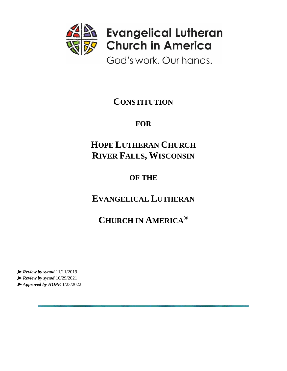

God's work. Our hands.

# **CONSTITUTION**

# **FOR**

# **HOPE LUTHERAN CHURCH RIVER FALLS, WISCONSIN**

# **OF THE**

# **EVANGELICAL LUTHERAN**

# **CHURCH IN AMERICA®**

➤ *Review by synod* 11/11/2019 ➤ *Review by synod* 10/29/2021 ➤ *Approved by HOPE* 1/23/2022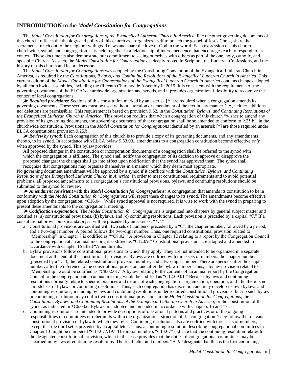# **INTRODUCTION to the** *Model Constitution for Congregations*

The *Model Constitution for Congregations of the Evangelical Lutheran Church in America*, like the other governing documents of this church, reflects the theology and polity of this church as it organizes itself to preach the gospel of Jesus Christ, share the sacraments, reach out to the neighbor with good news and share the love of God in the world. Each expression of this church – churchwide, synod, and congregation — is held together in a relationship of interdependence that encourages each to respond to its context. These documents also demonstrate our commitment to seeing ourselves with others as part of the one, holy, catholic, and apostolic Church. As such, the *Model Constitution for Congregations* is deeply rooted in Scripture, the Lutheran Confessions, and the history of this church and its predecessors.

The *Model Constitution for Congregations* was adopted by the Constituting Convention of the Evangelical Lutheran Church in America, as required by the *Constitutions, Bylaws, and Continuing Resolutions of the Evangelical Lutheran Church in America*. This current edition of the *Model Constitution for Congregations of the Evangelical Lutheran Church in America* contains changes adopted by all churchwide assemblies, including the fifteenth Churchwide Assembly in 2019. It is consistent with the requirements of the governing documents of the ELCA's churchwide organization and synods, and it provides organizational flexibility to recognize the context of local congregations.

► *Required provisions:* Sections of this constitution marked by an asterisk [\*] are required when a congregation amends its governing documents. These sections must be used without alteration or amendment of the text in any manner (*i.e.*, neither additions nor deletions are permissible). This requirement is based on provision 9.52. in the *Constitution, Bylaws, and Continuing Resolutions of the Evangelical Lutheran Church in America*. This provision requires that when a congregation of this church "wishes to amend any provision of its governing documents, the governing documents of that congregation shall be so amended to conform to 9.25.b." in the churchwide constitution. Provisions in the *Model Constitution for Congregations* identified by an asterisk [\*] are those required under ELCA constitutional provision 9.25.b.

➤ *Review by synod:* Each congregation of this church is to provide a copy of its governing documents, and any amendments thereto, to its synod. In accordance with ELCA bylaw 9.53.03., amendments to a congregation constitution become effective *only* when approved by the synod. This bylaw provides:

All proposed changes in the constitution or incorporation documents of a congregation shall be referred to the synod with which the congregation is affiliated. The synod shall notify the congregation of its decision to approve or disapprove the proposed changes; the changes shall go into effect upon notification that the synod has approved them. The synod shall recognize that congregations may organize themselves in a manner which they deem most appropriate.

No governing document amendment will be approved by a synod if it conflicts with the *Constitution, Bylaws, and Continuing Resolutions of the Evangelical Lutheran Church in America*. In order to meet constitutional requirements and to avoid potential problems, all proposed amendments to a congregation's constitutional provisions, bylaws, and continuing resolutions should be submitted to the synod for review.

➤ *Amendment consistent with the Model Constitution for Congregations:* A congregation that amends its constitution to be in conformity with the *Model Constitution for Congregations* will report these changes to its synod. The amendments become effective upon adoption by the congregation, \*C16.04. While synod approval is not required, it is wise to work with the synod in preparing to present these amendments to the congregational meeting.

➤ *Codification explanation:* The *Model Constitution for Congregations* is organized into chapters by general subject matter and codified as (a) constitutional provisions, (b) bylaws, and (c) continuing resolutions. Each provision is preceded by a capital "C." If a constitutional provision is mandatory, it will be preceded by an asterisk, "\*C."

- a. Constitutional provisions are codified with two sets of numbers, preceded by a "C": the chapter number, followed by a period, and a two-digit number. A period follows the two-digit number. Thus, one required constitutional provision related to "Membership" in Chapter 8 is codified as "\*C8.02." A provision in Chapter 12 relating to a report by the Congregation Council to the congregation at an annual meeting is codified as "C12.09." Constitutional provisions are adopted and amended in accordance with Chapter 16 titled "Amendments."
- b. Bylaw provisions follow constitutional provisions to which they apply. They are not intended to be organized in a separate document at the end of the constitutional provisions. Bylaws are codified with three sets of numbers: the chapter number (preceded by a "C"), the related constitutional provision number, and a two-digit number. There are periods after the chapter number, after the reference to the constitutional provision, and after the bylaw number. Thus, a bylaw provision related to "Membership" would be codified as "C8.02.01." A bylaw relating to the contents of an annual report by the Congregation Council to the congregation at an annual meeting would be codified as "C12.09.01." Because bylaws and continuing resolutions normally relate to specific practices and details of each congregation's organization, operation, and life, there is not a model set of bylaws or continuing resolutions. Thus, each congregation has discretion and may develop its own bylaws and continuing resolutions, including bylaws and continuing resolutions under required constitutional provisions, but no such bylaw or continuing resolution may conflict with constitutional provisions in the *Model Constitution for Congregations*, the *Constitution, Bylaws, and Continuing Resolutions of the Evangelical Lutheran Church in America*, or the constitution of the synod, as indicated in \*C6.03.e. Bylaws are adopted and amended in accordance with Chapters 16 and 17.
- c. Continuing resolutions are intended to provide descriptions of operational patterns and practices or of the ongoing responsibilities of committees or other units within the organizational structure of the congregation. They follow the relevant constitutional provision or bylaw to which they refer. Continuing resolutions also are codified with three sets of numbers, except that the third set is preceded by a capital letter. Thus, a continuing resolution describing congregational committees in Chapter 13 might be numbered "C13.07A19." The initial numbers "C13.07" indicate that the continuing resolution relates to the designated constitutional provision, which in this case provides that the duties of congregational committees may be specified in bylaws or continuing resolutions. The final letter and numbers "A19" designate that this is the first continuing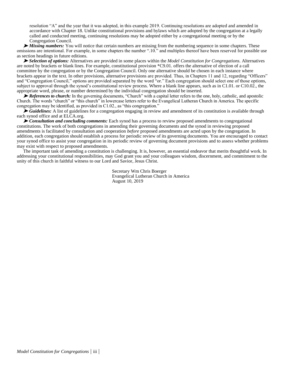resolution "A" and the year that it was adopted, in this example 2019. Continuing resolutions are adopted and amended in accordance with Chapter 18. Unlike constitutional provisions and bylaws which are adopted by the congregation at a legally called and conducted meeting, continuing resolutions may be adopted either by a congregational meeting or by the Congregation Council.

➤ *Missing numbers:* You will notice that certain numbers are missing from the numbering sequence in some chapters. These omissions are intentional. For example, in some chapters the number ".10." and multiples thereof have been reserved for possible use as section headings in future editions.

➤ *Selection of options:* Alternatives are provided in some places within the *Model Constitution for Congregations*. Alternatives are noted by brackets or blank lines. For example, constitutional provision \*C9.01. offers the alternative of election of a call committee by the congregation or by the Congregation Council. Only one alternative should be chosen in each instance where brackets appear in the text. In other provisions, alternative provisions are provided. Thus, in Chapters 11 and 12, regarding "Officers" and "Congregation Council," options are provided separated by the word "or." Each congregation should select one of those options, subject to approval through the synod's constitutional review process. Where a blank line appears, such as in C1.01. or C10.02., the appropriate word, phrase, or number determined by the individual congregation should be inserted.

► *References to church:* In the governing documents, "Church" with a capital letter refers to the one, holy, catholic, and apostolic Church. The words "church" or "this church" in lowercase letters refer to the Evangelical Lutheran Church in America. The specific congregation may be identified, as provided in C1.02., as "this congregation."

► *Guidelines:* A list of guidelines for a congregation engaging in review and amendment of its constitution is available through each synod office and at ELCA.org.

➤ *Consultation and concluding comments:* Each synod has a process to review proposed amendments to congregational constitutions. The work of both congregations in amending their governing documents and the synod in reviewing proposed amendments is facilitated by consultation and cooperation *before* proposed amendments are acted upon by the congregation. In addition, each congregation should establish a process for periodic review of its governing documents. You are encouraged to contact your synod office to assist your congregation in its periodic review of governing document provisions and to assess whether problems may exist with respect to proposed amendments.

The important task of amending a constitution is challenging. It is, however, an essential endeavor that merits thoughtful work. In addressing your constitutional responsibilities, may God grant you and your colleagues wisdom, discernment, and commitment to the unity of this church in faithful witness to our Lord and Savior, Jesus Christ.

> Secretary Wm Chris Boerger Evangelical Lutheran Church in America August 10, 2019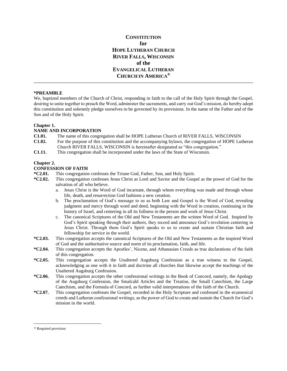# **CONSTITUTION for HOPE LUTHERAN CHURCH RIVER FALLS, WISCONSIN of the EVANGELICAL LUTHERAN CHURCH IN AMERICA®**

# **\*PREAMBLE**\*

We, baptized members of the Church of Christ, responding in faith to the call of the Holy Spirit through the Gospel, desiring to unite together to preach the Word, administer the sacraments, and carry out God's mission, do hereby adopt this constitution and solemnly pledge ourselves to be governed by its provisions. In the name of the Father and of the Son and of the Holy Spirit.

#### **Chapter 1.**

#### **NAME AND INCORPORATION**

- **C1.01.** The name of this congregation shall be HOPE Lutheran Church of RIVER FALLS, WISCONSIN
- **C1.02.** For the purpose of this constitution and the accompanying bylaws, the congregation of HOPE Lutheran Church RIVER FALLS, WISCONSIN is hereinafter designated as "this congregation."
- **C1.11.** This congregation shall be incorporated under the laws of the State of Wisconsin.

#### **Chapter 2.**

#### **CONFESSION OF FAITH**

- **\*C2.01.** This congregation confesses the Triune God, Father, Son, and Holy Spirit.
- **\*C2.02.** This congregation confesses Jesus Christ as Lord and Savior and the Gospel as the power of God for the salvation of all who believe.
	- a. Jesus Christ is the Word of God incarnate, through whom everything was made and through whose life, death, and resurrection God fashions a new creation.
	- b. The proclamation of God's message to us as both Law and Gospel is the Word of God, revealing judgment and mercy through word and deed, beginning with the Word in creation, continuing in the history of Israel, and centering in all its fullness in the person and work of Jesus Christ.
	- c. The canonical Scriptures of the Old and New Testaments are the written Word of God. Inspired by God's Spirit speaking through their authors, they record and announce God's revelation centering in Jesus Christ. Through them God's Spirit speaks to us to create and sustain Christian faith and fellowship for service in the world.
- **\*C2.03.** This congregation accepts the canonical Scriptures of the Old and New Testaments as the inspired Word of God and the authoritative source and norm of its proclamation, faith, and life.
- **\*C2.04.** This congregation accepts the Apostles', Nicene, and Athanasian Creeds as true declarations of the faith of this congregation.
- **\*C2.05.** This congregation accepts the Unaltered Augsburg Confession as a true witness to the Gospel, acknowledging as one with it in faith and doctrine all churches that likewise accept the teachings of the Unaltered Augsburg Confession.
- **\*C2.06.** This congregation accepts the other confessional writings in the Book of Concord, namely, the Apology of the Augsburg Confession, the Smalcald Articles and the Treatise, the Small Catechism, the Large Catechism, and the Formula of Concord, as further valid interpretations of the faith of the Church.
- **\*C2.07.** This congregation confesses the Gospel, recorded in the Holy Scripture and confessed in the ecumenical creeds and Lutheran confessional writings, as the power of God to create and sustain the Church for God's mission in the world.

<sup>\*</sup> Required provision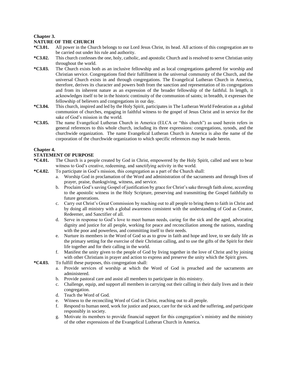# **Chapter 3.**

# **NATURE OF THE CHURCH**

- **\*C3.01.** All power in the Church belongs to our Lord Jesus Christ, its head. All actions of this congregation are to be carried out under his rule and authority.
- **\*C3.02.** This church confesses the one, holy, catholic, and apostolic Church and is resolved to serve Christian unity throughout the world.
- **\*C3.03.** The Church exists both as an inclusive fellowship and as local congregations gathered for worship and Christian service. Congregations find their fulfillment in the universal community of the Church, and the universal Church exists in and through congregations. The Evangelical Lutheran Church in America, therefore, derives its character and powers both from the sanction and representation of its congregations and from its inherent nature as an expression of the broader fellowship of the faithful. In length, it acknowledges itself to be in the historic continuity of the communion of saints; in breadth, it expresses the fellowship of believers and congregations in our day.
- **\*C3.04.** This church, inspired and led by the Holy Spirit, participates in The Lutheran World Federation as a global communion of churches, engaging in faithful witness to the gospel of Jesus Christ and in service for the sake of God's mission in the world.
- **\*C3.05.** The name Evangelical Lutheran Church in America (ELCA or "this church") as used herein refers in general references to this whole church, including its three expressions: congregations, synods, and the churchwide organization. The name Evangelical Lutheran Church in America is also the name of the corporation of the churchwide organization to which specific references may be made herein.

#### **Chapter 4.**

#### **STATEMENT OF PURPOSE**

- **\*C4.01.** The Church is a people created by God in Christ, empowered by the Holy Spirit, called and sent to bear witness to God's creative, redeeming, and sanctifying activity in the world.
- **\*C4.02.** To participate in God's mission, this congregation as a part of the Church shall:
	- a. Worship God in proclamation of the Word and administration of the sacraments and through lives of prayer, praise, thanksgiving, witness, and service.
	- b. Proclaim God's saving Gospel of justification by grace for Christ's sake through faith alone, according to the apostolic witness in the Holy Scripture, preserving and transmitting the Gospel faithfully to future generations.
	- c. Carry out Christ's Great Commission by reaching out to all people to bring them to faith in Christ and by doing all ministry with a global awareness consistent with the understanding of God as Creator, Redeemer, and Sanctifier of all.
	- d. Serve in response to God's love to meet human needs, caring for the sick and the aged, advocating dignity and justice for all people, working for peace and reconciliation among the nations, standing with the poor and powerless, and committing itself to their needs.
	- e. Nurture its members in the Word of God so as to grow in faith and hope and love, to see daily life as the primary setting for the exercise of their Christian calling, and to use the gifts of the Spirit for their life together and for their calling in the world.
	- f. Manifest the unity given to the people of God by living together in the love of Christ and by joining with other Christians in prayer and action to express and preserve the unity which the Spirit gives.

#### **\*C4.03.** To fulfill these purposes, this congregation shall:

- a. Provide services of worship at which the Word of God is preached and the sacraments are administered.
- b. Provide pastoral care and assist all members to participate in this ministry.
- c. Challenge, equip, and support all members in carrying out their calling in their daily lives and in their congregation.
- d. Teach the Word of God.
- e. Witness to the reconciling Word of God in Christ, reaching out to all people.
- f. Respond to human need, work for justice and peace, care for the sick and the suffering, and participate responsibly in society.
- g. Motivate its members to provide financial support for this congregation's ministry and the ministry of the other expressions of the Evangelical Lutheran Church in America.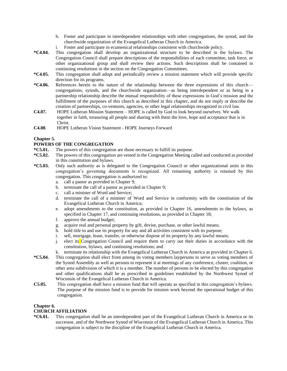- h. Foster and participate in interdependent relationships with other congregations, the synod, and the churchwide organization of the Evangelical Lutheran Church in America.
- i. Foster and participate in ecumenical relationships consistent with churchwide policy.
- **\*C4.04.** This congregation shall develop an organizational structure to be described in the bylaws. The Congregation Council shall prepare descriptions of the responsibilities of each committee, task force, or other organizational group and shall review their actions. Such descriptions shall be contained in continuing resolutions in the section on the Congregation Committees.
- **\*C4.05.** This congregation shall adopt and periodically review a mission statement which will provide specific direction for its programs.
- **\*C4.06.** References herein to the nature of the relationship between the three expressions of this church congregations, synods, and the churchwide organization—as being interdependent or as being in a partnership relationship describe the mutual responsibility of these expressions in God's mission and the fulfillment of the purposes of this church as described in this chapter, and do not imply or describe the creation of partnerships, co-ventures, agencies, or other legal relationships recognized in civil law.
- **C4.07.** HOPE Lutheran Mission Statement HOPE is called by God to look beyond ourselves. We walk together in faith, treasuring all people and sharing with them the love, hope and acceptance that is in Christ.
- **C4.08**. HOPE Lutheran Vision Statement HOPE Journeys Forward

# **Chapter 5.**

# **POWERS OF THE CONGREGATION**

- **\*C5.01.** The powers of this congregation are those necessary to fulfill its purpose.
- **\*C5.02.** The powers of this congregation are vested in the Congregation Meeting called and conducted as provided in this constitution and bylaws.
- **\*C5.03.** Only such authority as is delegated to the Congregation Council or other organizational units in this congregation's governing documents is recognized. All remaining authority is retained by this congregation. This congregation is authorized to:
	- a. call a pastor as provided in Chapter 9;
	- b. terminate the call of a pastor as provided in Chapter 9;
	- c. call a minister of Word and Service;
	- d. terminate the call of a minister of Word and Service in conformity with the constitution of the Evangelical Lutheran Church in America;
	- e. adopt amendments to the constitution, as provided in Chapter 16, amendments to the bylaws, as specified in Chapter 17, and continuing resolutions, as provided in Chapter 18;
	- f. approve the annual budget;
	- g. acquire real and personal property by gift, devise, purchase, or other lawful means;
	- h. hold title to and use its property for any and all activities consistent with its purpose;
	- i. sell, mortgage, lease, transfer, or otherwise dispose of its property by any lawful means;
	- j. elect its Congregation Council and require them to carry out their duties in accordance with the constitution, bylaws, and continuing resolutions; and
	- k. terminate its relationship with the Evangelical Lutheran Church in America as provided in Chapter 6.
- **\*C5.04.** This congregation shall elect from among its voting members laypersons to serve as voting members of the Synod Assembly as well as persons to represent it at meetings of any conference, cluster, coalition, or other area subdivision of which it is a member. The number of persons to be elected by this congregation and other qualifications shall be as prescribed in guidelines established by the Northwest Synod of Wisconsin of the Evangelical Lutheran Church in America.
- **C5.05.** This congregation shall have a mission fund that will operate as specified in this congregation's bylaws. The purpose of the mission fund is to provide for mission work beyond the operational budget of this congregation.

# **Chapter 6.**

# **CHURCH AFFILIATION**

**\*C6.01.** This congregation shall be an interdependent part of the Evangelical Lutheran Church in America or its successor, and of the Northwest Synod of Wisconsin of the Evangelical Lutheran Church in America. This congregation is subject to the discipline of the Evangelical Lutheran Church in America.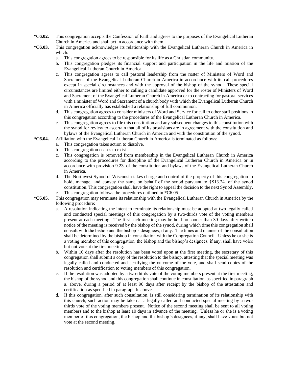- **\*C6.02.** This congregation accepts the Confession of Faith and agrees to the purposes of the Evangelical Lutheran Church in America and shall act in accordance with them.
- **\*C6.03.** This congregation acknowledges its relationship with the Evangelical Lutheran Church in America in which:
	- a. This congregation agrees to be responsible for its life as a Christian community.
	- b. This congregation pledges its financial support and participation in the life and mission of the Evangelical Lutheran Church in America.
	- c. This congregation agrees to call pastoral leadership from the roster of Ministers of Word and Sacrament of the Evangelical Lutheran Church in America in accordance with its call procedures except in special circumstances and with the approval of the bishop of the synod. These special circumstances are limited either to calling a candidate approved for the roster of Ministers of Word and Sacrament of the Evangelical Lutheran Church in America or to contracting for pastoral services with a minister of Word and Sacrament of a church body with which the Evangelical Lutheran Church in America officially has established a relationship of full communion.
	- d. This congregation agrees to consider ministers of Word and Service for call to other staff positions in this congregation according to the procedures of the Evangelical Lutheran Church in America.
	- e. This congregation agrees to file this constitution and any subsequent changes to this constitution with the synod for review to ascertain that all of its provisions are in agreement with the constitution and bylaws of the Evangelical Lutheran Church in America and with the constitution of the synod.
- **\*C6.04.** Affiliation with the Evangelical Lutheran Church in America is terminated as follows:
	- a. This congregation takes action to dissolve.
	- b. This congregation ceases to exist.
	- c. This congregation is removed from membership in the Evangelical Lutheran Church in America according to the procedures for discipline of the Evangelical Lutheran Church in America or in accordance with provision 9.23. of the constitution and bylaws of the Evangelical Lutheran Church in America.
	- d. The Northwest Synod of Wisconsin takes charge and control of the property of this congregation to hold, manage, and convey the same on behalf of the synod pursuant to †S13.24. of the synod constitution. This congregation shall have the right to appeal the decision to the next Synod Assembly. e. This congregation follows the procedures outlined in \*C6.05.
- **\*C6.05.** This congregation may terminate its relationship with the Evangelical Lutheran Church in America by the following procedure:
	- a. A resolution indicating the intent to terminate its relationship must be adopted at two legally called and conducted special meetings of this congregation by a two-thirds vote of the voting members present at each meeting. The first such meeting may be held no sooner than 30 days after written notice of the meeting is received by the bishop of the synod, during which time this congregation shall consult with the bishop and the bishop's designees, if any. The times and manner of the consultation shall be determined by the bishop in consultation with the Congregation Council. Unless he or she is a voting member of this congregation, the bishop and the bishop's designees, if any, shall have voice but not vote at the first meeting.
	- b. Within 10 days after the resolution has been voted upon at the first meeting, the secretary of this congregation shall submit a copy of the resolution to the bishop, attesting that the special meeting was legally called and conducted and certifying the outcome of the vote, and shall send copies of the resolution and certification to voting members of this congregation.
	- c. If the resolution was adopted by a two-thirds vote of the voting members present at the first meeting, the bishop of the synod and this congregation shall continue in consultation, as specified in paragraph a. above, during a period of at least 90 days after receipt by the bishop of the attestation and certification as specified in paragraph b. above.
	- d. If this congregation, after such consultation, is still considering termination of its relationship with this church, such action may be taken at a legally called and conducted special meeting by a twothirds vote of the voting members present. Notice of the second meeting shall be sent to all voting members and to the bishop at least 10 days in advance of the meeting. Unless he or she is a voting member of this congregation, the bishop and the bishop's designees, if any, shall have voice but not vote at the second meeting.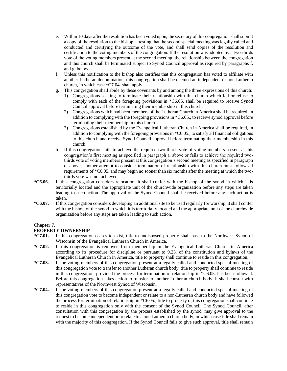- e. Within 10 days after the resolution has been voted upon, the secretary of this congregation shall submit a copy of the resolution to the bishop, attesting that the second special meeting was legally called and conducted and certifying the outcome of the vote, and shall send copies of the resolution and certification to the voting members of the congregation. If the resolution was adopted by a two-thirds vote of the voting members present at the second meeting, the relationship between the congregation and this church shall be terminated subject to Synod Council approval as required by paragraphs f. and g. below.
- f. Unless this notification to the bishop also certifies that this congregation has voted to affiliate with another Lutheran denomination, this congregation shall be deemed an independent or non-Lutheran church, in which case \*C7.04. shall apply.
- g. This congregation shall abide by these covenants by and among the three expressions of this church:
	- 1) Congregations seeking to terminate their relationship with this church which fail or refuse to comply with each of the foregoing provisions in \*C6.05. shall be required to receive Synod Council approval before terminating their membership in this church.
	- 2) Congregations which had been members of the Lutheran Church in America shall be required, in addition to complying with the foregoing provisions in \*C6.05., to receive synod approval before terminating their membership in this church.
	- 3) Congregations established by the Evangelical Lutheran Church in America shall be required, in addition to complying with the foregoing provisions in \*C6.05., to satisfy all financial obligations to this church and receive Synod Council approval before terminating their membership in this church.
- h. If this congregation fails to achieve the required two-thirds vote of voting members present at this congregation's first meeting as specified in paragraph a. above or fails to achieve the required twothirds vote of voting members present at this congregation's second meeting as specified in paragraph d. above, another attempt to consider termination of relationship with this church must follow all requirements of \*C6.05. and may begin no sooner than six months after the meeting at which the twothirds vote was not achieved.
- **\*C6.06.** If this congregation considers relocation, it shall confer with the bishop of the synod in which it is territorially located and the appropriate unit of the churchwide organization before any steps are taken leading to such action. The approval of the Synod Council shall be received before any such action is taken.
- **\*C6.07.** If this congregation considers developing an additional site to be used regularly for worship, it shall confer with the bishop of the synod in which it is territorially located and the appropriate unit of the churchwide organization before any steps are taken leading to such action.

# **Chapter 7.**

# **PROPERTY OWNERSHIP**

- **\*C7.01.** If this congregation ceases to exist, title to undisposed property shall pass to the Northwest Synod of Wisconsin of the Evangelical Lutheran Church in America.
- **\*C7.02.** If this congregation is removed from membership in the Evangelical Lutheran Church in America according to its procedure for discipline or pursuant to 9.23. of the constitution and bylaws of the Evangelical Lutheran Church in America, title to property shall continue to reside in this congregation.
- **\*C7.03.** If the voting members of this congregation present at a legally called and conducted special meeting of this congregation vote to transfer to another Lutheran church body, title to property shall continue to reside in this congregation, provided the process for termination of relationship in \*C6.05. has been followed. Before this congregation takes action to transfer to another Lutheran church body, it shall consult with representatives of the Northwest Synod of Wisconsin.
- **\*C7.04.** If the voting members of this congregation present at a legally called and conducted special meeting of this congregation vote to become independent or relate to a non-Lutheran church body and have followed the process for termination of relationship in \*C6.05., title to property of this congregation shall continue to reside in this congregation only with the consent of the Synod Council. The Synod Council, after consultation with this congregation by the process established by the synod, may give approval to the request to become independent or to relate to a non-Lutheran church body, in which case title shall remain with the majority of this congregation. If the Synod Council fails to give such approval, title shall remain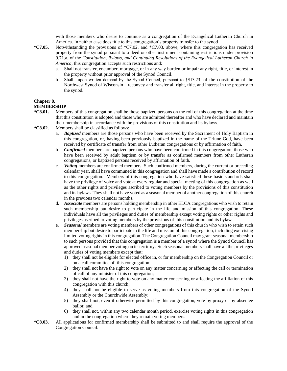with those members who desire to continue as a congregation of the Evangelical Lutheran Church in America. In neither case does title to this congregation's property transfer to the synod

- **\*C7.05.** Notwithstanding the provisions of \*C7.02. and \*C7.03. above, where this congregation has received property from the synod pursuant to a deed or other instrument containing restrictions under provision 9.71.a. of the *Constitution, Bylaws, and Continuing Resolutions of the Evangelical Lutheran Church in America*, this congregation accepts such restrictions and:
	- a. Shall not transfer, encumber, mortgage, or in any way burden or impair any right, title, or interest in the property without prior approval of the Synod Council.
	- b. Shall—upon written demand by the Synod Council, pursuant to †S13.23. of the constitution of the Northwest Synod of Wisconsin—reconvey and transfer all right, title, and interest in the property to the synod.

# **Chapter 8.**

#### **MEMBERSHIP**

- **\*C8.01.** Members of this congregation shall be those baptized persons on the roll of this congregation at the time that this constitution is adopted and those who are admitted thereafter and who have declared and maintain their membership in accordance with the provisions of this constitution and its bylaws.
- **\*C8.02.** Members shall be classified as follows:
	- a. *Baptized* members are those persons who have been received by the Sacrament of Holy Baptism in this congregation, or, having been previously baptized in the name of the Triune God, have been received by certificate of transfer from other Lutheran congregations or by affirmation of faith.
	- b. *Confirmed* members are baptized persons who have been confirmed in this congregation, those who have been received by adult baptism or by transfer as confirmed members from other Lutheran congregations, or baptized persons received by affirmation of faith.
	- c. *Voting* members are confirmed members. Such confirmed members, during the current or preceding calendar year, shall have communed in this congregation and shall have made a contribution of record to this congregation. Members of this congregation who have satisfied these basic standards shall have the privilege of voice and vote at every regular and special meeting of this congregation as well as the other rights and privileges ascribed to voting members by the provisions of this constitution and its bylaws. They shall not have voted as a seasonal member of another congregation of this church in the previous two calendar months.
	- d. *Associate* members are persons holding membership in other ELCA congregations who wish to retain such membership but desire to participate in the life and mission of this congregation. These individuals have all the privileges and duties of membership except voting rights or other rights and privileges ascribed to voting members by the provisions of this constitution and its bylaws.
	- e. *Seasonal* members are voting members of other congregations of this church who wish to retain such membership but desire to participate in the life and mission of this congregation, including exercising limited voting rights in this congregation. The Congregation Council may grant seasonal membership to such persons provided that this congregation is a member of a synod where the Synod Council has approved seasonal member voting on its territory. Such seasonal members shall have all the privileges and duties of voting members except that:
		- 1) they shall not be eligible for elected office in, or for membership on the Congregation Council or on a call committee of, this congregation;
		- 2) they shall not have the right to vote on any matter concerning or affecting the call or termination of call of any minister of this congregation;
		- 3) they shall not have the right to vote on any matter concerning or affecting the affiliation of this congregation with this church;
		- 4) they shall not be eligible to serve as voting members from this congregation of the Synod Assembly or the Churchwide Assembly;
		- 5) they shall not, even if otherwise permitted by this congregation, vote by proxy or by absentee ballot; and
		- 6) they shall not, within any two calendar month period, exercise voting rights in this congregation and in the congregation where they remain voting members.
- **\*C8.03.** All applications for confirmed membership shall be submitted to and shall require the approval of the Congregation Council.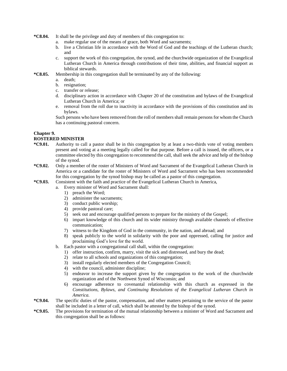- **\*C8.04.** It shall be the privilege and duty of members of this congregation to:
	- a. make regular use of the means of grace, both Word and sacraments;
		- b. live a Christian life in accordance with the Word of God and the teachings of the Lutheran church; and
	- c. support the work of this congregation, the synod, and the churchwide organization of the Evangelical Lutheran Church in America through contributions of their time, abilities, and financial support as biblical stewards.
- **\*C8.05.** Membership in this congregation shall be terminated by any of the following:
	- a. death;
	- b. resignation;
	- c. transfer or release;
	- d. disciplinary action in accordance with Chapter 20 of the constitution and bylaws of the Evangelical Lutheran Church in America; or
	- e. removal from the roll due to inactivity in accordance with the provisions of this constitution and its bylaws.

Such persons who have been removed from the roll of members shall remain persons for whom the Church has a continuing pastoral concern.

# **Chapter 9.**

# **ROSTERED MINISTER**

- **\*C9.01.** Authority to call a pastor shall be in this congregation by at least a two-thirds vote of voting members present and voting at a meeting legally called for that purpose. Before a call is issued, the officers, or a committee elected by this congregation to recommend the call, shall seek the advice and help of the bishop of the synod.
- **\*C9.02.** Only a member of the roster of Ministers of Word and Sacrament of the Evangelical Lutheran Church in America or a candidate for the roster of Ministers of Word and Sacrament who has been recommended for this congregation by the synod bishop may be called as a pastor of this congregation.
- **\*C9.03.** Consistent with the faith and practice of the Evangelical Lutheran Church in America,
	- a. Every minister of Word and Sacrament shall:
		- 1) preach the Word;
		- 2) administer the sacraments;
		- 3) conduct public worship;
		- 4) provide pastoral care;
		- 5) seek out and encourage qualified persons to prepare for the ministry of the Gospel;
		- 6) impart knowledge of this church and its wider ministry through available channels of effective communication;
		- 7) witness to the Kingdom of God in the community, in the nation, and abroad; and
		- 8) speak publicly to the world in solidarity with the poor and oppressed, calling for justice and proclaiming God's love for the world.
	- b. Each pastor with a congregational call shall, within the congregation:
		- 1) offer instruction, confirm, marry, visit the sick and distressed, and bury the dead;
		- 2) relate to all schools and organizations of this congregation;
		- 3) install regularly elected members of the Congregation Council;
		- 4) with the council, administer discipline;
		- 5) endeavor to increase the support given by the congregation to the work of the churchwide organization and of the Northwest Synod of Wisconsin; and
		- 6) encourage adherence to covenantal relationship with this church as expressed in the *Constitutions, Bylaws, and Continuing Resolutions of the Evangelical Lutheran Church in America.*
- **\*C9.04.** The specific duties of the pastor, compensation, and other matters pertaining to the service of the pastor shall be included in a letter of call, which shall be attested by the bishop of the synod.
- **\*C9.05.** The provisions for termination of the mutual relationship between a minister of Word and Sacrament and this congregation shall be as follows: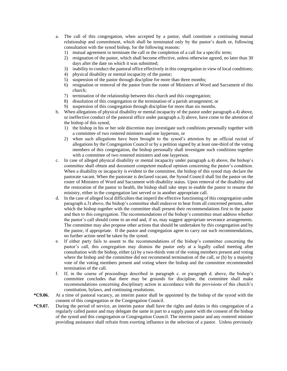- a. The call of this congregation, when accepted by a pastor, shall constitute a continuing mutual relationship and commitment, which shall be terminated only by the pastor's death or, following consultation with the synod bishop, for the following reasons:
	- 1) mutual agreement to terminate the call or the completion of a call for a specific term;
	- 2) resignation of the pastor, which shall become effective, unless otherwise agreed, no later than 30 days after the date on which it was submitted;
	- 3) inability to conduct the pastoral office effectively in this congregation in view of local conditions;
	- 4) physical disability or mental incapacity of the pastor;
	- 5) suspension of the pastor through discipline for more than three months;
	- 6) resignation or removal of the pastor from the roster of Ministers of Word and Sacrament of this church;
	- 7) termination of the relationship between this church and this congregation;
	- 8) dissolution of this congregation or the termination of a parish arrangement; or
	- 9) suspension of this congregation through discipline for more than six months.
- b. When allegations of physical disability or mental incapacity of the pastor under paragraph a.4) above, or ineffective conduct of the pastoral office under paragraph a.3) above, have come to the attention of the bishop of this synod,
	- 1) the bishop in his or her sole discretion may investigate such conditions personally together with a committee of two rostered ministers and one layperson, or
	- 2) when such allegations have been brought to the synod's attention by an official recital of allegations by the Congregation Council or by a petition signed by at least one-third of the voting members of this congregation, the bishop personally shall investigate such conditions together with a committee of two rostered ministers and one layperson.
- c. In case of alleged physical disability or mental incapacity under paragraph a.4) above, the bishop's committee shall obtain and document competent medical opinion concerning the pastor's condition. When a disability or incapacity is evident to the committee, the bishop of this synod may declare the pastorate vacant. When the pastorate is declared vacant, the Synod Council shall list the pastor on the roster of Ministers of Word and Sacrament with disability status. Upon removal of the disability and the restoration of the pastor to health, the bishop shall take steps to enable the pastor to resume the ministry, either in the congregation last served or in another appropriate call.
- d. In the case of alleged local difficulties that imperil the effective functioning of this congregation under paragraph a.3) above, the bishop's committee shall endeavor to hear from all concerned persons, after which the bishop together with the committee shall present their recommendations first to the pastor and then to this congregation. The recommendations of the bishop's committee must address whether the pastor's call should come to an end and, if so, may suggest appropriate severance arrangements. The committee may also propose other actions that should be undertaken by this congregation and by the pastor, if appropriate. If the pastor and congregation agree to carry out such recommendations, no further action need be taken by the synod.
- e. If either party fails to assent to the recommendations of the bishop's committee concerning the pastor's call, this congregation may dismiss the pastor only at a legally called meeting after consultation with the bishop, either (a) by a two-thirds vote of the voting members present and voting where the bishop and the committee did not recommend termination of the call, or (b) by a majority vote of the voting members present and voting where the bishop and the committee recommended termination of the call.
- f. If, in the course of proceedings described in paragraph c. or paragraph d. above, the bishop's committee concludes that there may be grounds for discipline, the committee shall make recommendations concerning disciplinary action in accordance with the provisions of this church's constitution, bylaws, and continuing resolutions.
- **\*C9.06.** At a time of pastoral vacancy, an interim pastor shall be appointed by the bishop of the synod with the consent of this congregation or the Congregation Council.
- **\*C9.07.** During the period of service, an interim pastor shall have the rights and duties in this congregation of a regularly called pastor and may delegate the same in part to a supply pastor with the consent of the bishop of the synod and this congregation or Congregation Council. The interim pastor and any rostered minister providing assistance shall refrain from exerting influence in the selection of a pastor. Unless previously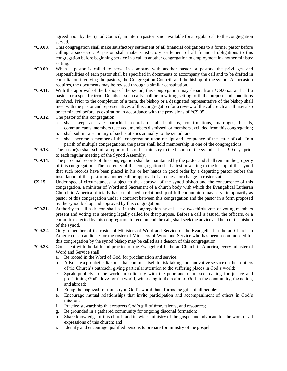agreed upon by the Synod Council, an interim pastor is not available for a regular call to the congregation served.

- **\*C9.08.** This congregation shall make satisfactory settlement of all financial obligations to a former pastor before calling a successor. A pastor shall make satisfactory settlement of all financial obligations to this congregation before beginning service in a call to another congregation or employment in another ministry setting.
- **\*C9.09.** When a pastor is called to serve in company with another pastor or pastors, the privileges and responsibilities of each pastor shall be specified in documents to accompany the call and to be drafted in consultation involving the pastors, the Congregation Council, and the bishop of the synod. As occasion requires, the documents may be revised through a similar consultation.
- **\*C9.11.** With the approval of the bishop of the synod, this congregation may depart from \*C9.05.a. and call a pastor for a specific term. Details of such calls shall be in writing setting forth the purpose and conditions involved. Prior to the completion of a term, the bishop or a designated representative of the bishop shall meet with the pastor and representatives of this congregation for a review of the call. Such a call may also be terminated before its expiration in accordance with the provisions of \*C9.05.a.
- **\*C9.12.** The pastor of this congregation:
	- a. shall keep accurate parochial records of all baptisms, confirmations, marriages, burials, communicants, members received, members dismissed, or members excluded from this congregation;
	- b. shall submit a summary of such statistics annually to the synod; and
	- c. shall become a member of this congregation upon receipt and acceptance of the letter of call. In a parish of multiple congregations, the pastor shall hold membership in one of the congregations.
- **\*C9.13.** The pastor(s) shall submit a report of his or her ministry to the bishop of the synod at least 90 days prior to each regular meeting of the Synod Assembly.
- **\*C9.14.** The parochial records of this congregation shall be maintained by the pastor and shall remain the property of this congregation. The secretary of this congregation shall attest in writing to the bishop of this synod that such records have been placed in his or her hands in good order by a departing pastor before the installation of that pastor in another call or approval of a request for change in roster status.
- **C9.15.** Under special circumstances, subject to the approval of the synod bishop and the concurrence of this congregation, a minister of Word and Sacrament of a church body with which the Evangelical Lutheran Church in America officially has established a relationship of full communion may serve temporarily as pastor of this congregation under a contract between this congregation and the pastor in a form proposed by the synod bishop and approved by this congregation.
- **\*C9.21.** Authority to call a deacon shall be in this congregation by at least a two-thirds vote of voting members present and voting at a meeting legally called for that purpose. Before a call is issued, the officers, or a committee elected by this congregation to recommend the call, shall seek the advice and help of the bishop of the synod.
- **\*C9.22.** Only a member of the roster of Ministers of Word and Service of the Evangelical Lutheran Church in America or a candidate for the roster of Ministers of Word and Service who has been recommended for this congregation by the synod bishop may be called as a deacon of this congregation.
- **\*C9.23.** Consistent with the faith and practice of the Evangelical Lutheran Church in America, every minister of Word and Service shall:
	- a. Be rooted in the Word of God, for proclamation and service;
	- b. Advocate a prophetic diakonia that commits itself to risk-taking and innovative service on the frontiers of the Church's outreach, giving particular attention to the suffering places in God's world;
	- c. Speak publicly to the world in solidarity with the poor and oppressed, calling for justice and proclaiming God's love for the world, witnessing to the realm of God in the community, the nation, and abroad;
	- d. Equip the baptized for ministry in God's world that affirms the gifts of all people;
	- e. Encourage mutual relationships that invite participation and accompaniment of others in God's mission;
	- f. Practice stewardship that respects God's gift of time, talents, and resources;
	- g. Be grounded in a gathered community for ongoing diaconal formation;
	- h. Share knowledge of this church and its wider ministry of the gospel and advocate for the work of all expressions of this church; and
	- i. Identify and encourage qualified persons to prepare for ministry of the gospel.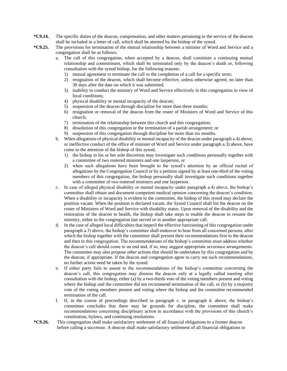- **\*C9.24.** The specific duties of the deacon, compensation, and other matters pertaining to the service of the deacon shall be included in a letter of call, which shall be attested by the bishop of the synod.
- **\*C9.25.** The provisions for termination of the mutual relationship between a minister of Word and Service and a congregation shall be as follows:
	- a. The call of this congregation, when accepted by a deacon, shall constitute a continuing mutual relationship and commitment, which shall be terminated only by the deacon's death or, following consultation with the synod bishop, for the following reasons:
		- 1) mutual agreement to terminate the call or the completion of a call for a specific term;
		- 2) resignation of the deacon, which shall become effective, unless otherwise agreed, no later than 30 days after the date on which it was submitted;
		- 3) inability to conduct the ministry of Word and Service effectively in this congregation in view of local conditions;
		- 4) physical disability or mental incapacity of the deacon;
		- 5) suspension of the deacon through discipline for more than three months;
		- 6) resignation or removal of the deacon from the roster of Ministers of Word and Service of this church;
		- 7) termination of the relationship between this church and this congregation;
		- 8) dissolution of this congregation or the termination of a parish arrangement; or
		- 9) suspension of this congregation through discipline for more than six months.
	- b. When allegations of physical disability or mental incapacity of the deacon under paragraph a.4) above, or ineffective conduct of the office of minister of Word and Service under paragraph a.3) above, have come to the attention of the bishop of this synod,
		- 1) the bishop in his or her sole discretion may investigate such conditions personally together with a committee of two rostered ministers and one layperson, or
		- 2) when such allegations have been brought to the synod's attention by an official recital of allegations by the Congregation Council or by a petition signed by at least one-third of the voting members of this congregation, the bishop personally shall investigate such conditions together with a committee of two rostered ministers and one layperson.
	- c. In case of alleged physical disability or mental incapacity under paragraph a.4) above, the bishop's committee shall obtain and document competent medical opinion concerning the deacon's condition. When a disability or incapacity is evident to the committee, the bishop of this synod may declare the position vacant. When the position is declared vacant, the Synod Council shall list the deacon on the roster of Ministers of Word and Service with disability status. Upon removal of the disability and the restoration of the deacon to health, the bishop shall take steps to enable the deacon to resume the ministry, either in the congregation last served or in another appropriate call.
	- d. In the case of alleged local difficulties that imperil the effective functioning of this congregation under paragraph a.3) above, the bishop's committee shall endeavor to hear from all concerned persons, after which the bishop together with the committee shall present their recommendations first to the deacon and then to this congregation. The recommendations of the bishop's committee must address whether the deacon's call should come to an end and, if so, may suggest appropriate severance arrangements. The committee may also propose other actions that should be undertaken by this congregation and by the deacon, if appropriate. If the deacon and congregation agree to carry out such recommendations, no further action need be taken by the synod.
	- e. If either party fails to assent to the recommendations of the bishop's committee concerning the deacon's call, this congregation may dismiss the deacon only at a legally called meeting after consultation with the bishop, either (a) by a two-thirds vote of the voting members present and voting where the bishop and the committee did not recommend termination of the call, or (b) by a majority vote of the voting members present and voting where the bishop and the committee recommended termination of the call.
	- f. If, in the course of proceedings described in paragraph c. or paragraph d. above, the bishop's committee concludes that there may be grounds for discipline, the committee shall make recommendations concerning disciplinary action in accordance with the provisions of this church's constitution, bylaws, and continuing resolutions.
- **\*C9.26.** This congregation shall make satisfactory settlement of all financial obligations to a former deacon before calling a successor. A deacon shall make satisfactory settlement of all financial obligations to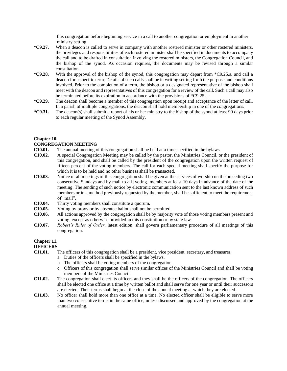this congregation before beginning service in a call to another congregation or employment in another ministry setting.

- **\*C9.27.** When a deacon is called to serve in company with another rostered minister or other rostered ministers, the privileges and responsibilities of each rostered minister shall be specified in documents to accompany the call and to be drafted in consultation involving the rostered ministers, the Congregation Council, and the bishop of the synod. As occasion requires, the documents may be revised through a similar consultation.
- **\*C9.28.** With the approval of the bishop of the synod, this congregation may depart from \*C9.25.a. and call a deacon for a specific term. Details of such calls shall be in writing setting forth the purpose and conditions involved. Prior to the completion of a term, the bishop or a designated representative of the bishop shall meet with the deacon and representatives of this congregation for a review of the call. Such a call may also be terminated before its expiration in accordance with the provisions of \*C9.25.a.
- **\*C9.29.** The deacon shall become a member of this congregation upon receipt and acceptance of the letter of call. In a parish of multiple congregations, the deacon shall hold membership in one of the congregations.
- **\*C9.31.** The deacon(s) shall submit a report of his or her ministry to the bishop of the synod at least 90 days prior to each regular meeting of the Synod Assembly.

# **Chapter 10.**

#### **CONGREGATION MEETING**

- **C10.01.** The annual meeting of this congregation shall be held at a time specified in the bylaws.
- **C10.02.** A special Congregation Meeting may be called by the pastor, the Ministries Council, or the president of this congregation, and shall be called by the president of the congregation upon the written request of fifteen percent of the voting members. The call for each special meeting shall specify the purpose for which it is to be held and no other business shall be transacted.
- **C10.03.** Notice of all meetings of this congregation shall be given at the services of worship on the preceding two consecutive Sundays and by mail to all [voting] members at least 10 days in advance of the date of the meeting. The sending of such notice by electronic communication sent to the last known address of such members or in a method previously requested by the member, shall be sufficient to meet the requirement of "mail".
- **C10.04.** Thirty voting members shall constitute a quorum.
- **C10.05.** Voting by proxy or by absentee ballot shall not be permitted.
- **C10.06.** All actions approved by the congregation shall be by majority vote of those voting members present and voting, except as otherwise provided in this constitution or by state law.
- **C10.07.** *Robert's Rules of Order*, latest edition, shall govern parliamentary procedure of all meetings of this congregation.

# **Chapter 11.**

# **OFFICERS**

- **C11.01.** The officers of this congregation shall be a president, vice president, secretary, and treasurer.
	- a. Duties of the officers shall be specified in the bylaws.
	- b. The officers shall be voting members of the congregation.
	- c. Officers of this congregation shall serve similar offices of the Ministries Council and shall be voting members of the Ministries Council.
- **C11.02.** The congregation shall elect its officers and they shall be the officers of the congregation. The officers shall be elected one office at a time by written ballot and shall serve for one year or until their successors are elected. Their terms shall begin at the close of the annual meeting at which they are elected.
- **C11.03.** No officer shall hold more than one office at a time. No elected officer shall be eligible to serve more than two consecutive terms in the same office, unless discussed and approved by the congregation at the annual meeting.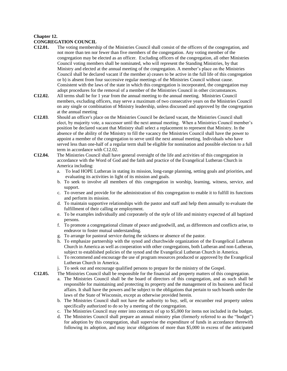# **Chapter 12.**

# **CONGREGATION COUNCIL**

- **C12.01.** The voting membership of the Ministries Council shall consist of the officers of the congregation, and not more than ten nor fewer than five members of the congregation. Any voting member of the congregation may be elected as an officer. Excluding officers of the congregation, all other Ministries Council voting members shall be nominated, who will represent the Standing Ministries, by that Ministry and elected at the annual meeting of the congregation. A member's place on the Ministries Council shall be declared vacant if the member a) ceases to be active in the full life of this congregation or b) is absent from four successive regular meetings of the Ministries Council without cause. Consistent with the laws of the state in which this congregation is incorporated, the congregation may adopt procedures for the removal of a member of the Ministries Council in other circumstances.
- **C12.02.** All terms shall be for 1 year from the annual meeting to the annual meeting. Ministries Council members, excluding officers, may serve a maximum of two consecutive years on the Ministries Council on any single or combination of Ministry leadership, unless discussed and approved by the congregation at the annual meeting
- **C12.03**. Should an officer's place on the Ministries Council be declared vacant, the Ministries Council shall elect, by majority vote, a successor until the next annual meeting. When a Ministries Council member's position be declared vacant that Ministry shall select a replacement to represent that Ministry. In the absence of the ability of the Ministry to fill the vacancy the Ministries Council shall have the power to appoint a member of the congregation to serve until the next annual meeting. Individuals who have served less than one-half of a regular term shall be eligible for nomination and possible election to a full term in accordance with C12.02.
- **C12.04.** The Ministries Council shall have general oversight of the life and activities of this congregation in accordance with the Word of God and the faith and practice of the Evangelical Lutheran Church in America including:
	- a. To lead HOPE Lutheran in stating its mission, long-range planning, setting goals and priorities, and evaluating its activities in light of its mission and goals.
	- b. To seek to involve all members of this congregation in worship, learning, witness, service, and support.
	- c. To oversee and provide for the administration of this congregation to enable it to fulfill its functions and perform its mission.
	- d. To maintain supportive relationships with the pastor and staff and help them annually to evaluate the fulfillment of their calling or employment.
	- e. To be examples individually and corporately of the style of life and ministry expected of all baptized persons.
	- f. To promote a congregational climate of peace and goodwill, and, as differences and conflicts arise, to endeavor to foster mutual understanding.
	- g. To arrange for pastoral service during the sickness or absence of the pastor.
	- h. To emphasize partnership with the synod and churchwide organization of the Evangelical Lutheran Church in America as well as cooperation with other congregations, both Lutheran and non-Lutheran, subject to established policies of the synod and the Evangelical Lutheran Church in America.
	- i. To recommend and encourage the use of program resources produced or approved by the Evangelical Lutheran Church in America.
	- j. To seek out and encourage qualified persons to prepare for the ministry of the Gospel.
- **C12.05.** The Ministries Council shall be responsible for the financial and property matters of this congregation.
	- a. The Ministries Council shall be the board of directors of this congregation, and as such shall be responsible for maintaining and protecting its property and the management of its business and fiscal affairs. It shall have the powers and be subject to the obligations that pertain to such boards under the laws of the State of Wisconsin, except as otherwise provided herein.
	- b. The Ministries Council shall not have the authority to buy, sell, or encumber real property unless specifically authorized to do so by a meeting of the congregation.
	- c. The Ministries Council may enter into contracts of up to \$5,000 for items not included in the budget.
	- d. The Ministries Council shall prepare an annual ministry plan (formerly referred to as the "budget") for adoption by this congregation, shall supervise the expenditure of funds in accordance therewith following its adoption, and may incur obligations of more than \$5,000 in excess of the anticipated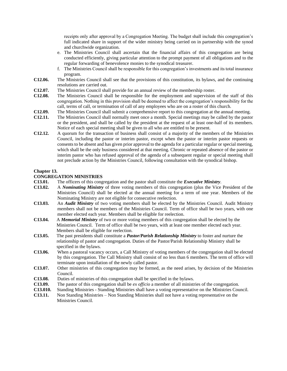receipts only after approval by a Congregation Meeting. The budget shall include this congregation's full indicated share in support of the wider ministry being carried on in partnership with the synod and churchwide organization.

- e. The Ministries Council shall ascertain that the financial affairs of this congregation are being conducted efficiently, giving particular attention to the prompt payment of all obligations and to the regular forwarding of benevolence monies to the synodical treasurer.
- f. The Ministries Council shall be responsible for this congregation's investments and its total insurance program.
- **C12.06.** The Ministries Council shall see that the provisions of this constitution, its bylaws, and the continuing resolutions are carried out.
- **C12.07.** The Ministries Council shall provide for an annual review of the membership roster.
- **C12.08.** The Ministries Council shall be responsible for the employment and supervision of the staff of this congregation. Nothing in this provision shall be deemed to affect the congregation's responsibility for the call, terms of call, or termination of call of any employees who are on a roster of this church.
- **C12.09.** The Ministries Council shall submit a comprehensive report to this congregation at the annual meeting.
- **C12.11.** The Ministries Council shall normally meet once a month. Special meetings may be called by the pastor or the president, and shall be called by the president at the request of at least one-half of its members. Notice of each special meeting shall be given to all who are entitled to be present.
- **C12.12.** A quorum for the transaction of business shall consist of a majority of the members of the Ministries Council, including the pastor or interim pastor, except when the pastor or interim pastor requests or consents to be absent and has given prior approval to the agenda for a particular regular or special meeting, which shall be the only business considered at that meeting. Chronic or repeated absence of the pastor or interim pastor who has refused approval of the agenda of a subsequent regular or special meeting shall not preclude action by the Ministries Council, following consultation with the synodical bishop.

# **Chapter 13.**

#### **CONGREGATION MINISTRIES**

- **C13.01.** The officers of this congregation and the pastor shall constitute the *Executive Ministry*.
- **C13.02.** A *Nominating Ministry* of three voting members of this congregation (plus the Vice President of the Ministries Council) shall be elected at the annual meeting for a term of one year. Members of the Nominating Ministry are not eligible for consecutive reelection.
- **C13.03.** An *Audit Ministry* of two voting members shall be elected by the Ministries Council. Audit Ministry members shall not be members of the Ministries Council. Term of office shall be two years, with one member elected each year. Members shall be eligible for reelection.
- **C13.04.** A *Memorial Ministry* of two or more voting members of this congregation shall be elected by the Ministries Council. Term of office shall be two years, with at least one member elected each year. Members shall be eligible for reelection.
- **C13.05.** The past presidents shall constitute a *Pastor/Parish Relationship Ministry* to foster and nurture the relationship of pastor and congregation. Duties of the Pastor/Parish Relationship Ministry shall be specified in the bylaws.
- **C13.06.** When a pastoral vacancy occurs, a Call Ministry of voting members of the congregation shall be elected by this congregation. The Call Ministry shall consist of no less than 6 members. The term of office will terminate upon installation of the newly called pastor.
- **C13.07.** Other ministries of this congregation may be formed, as the need arises, by decision of the Ministries Council.
- **C13.08.** Duties of ministries of this congregation shall be specified in the bylaws.
- **C13.09.** The pastor of this congregation shall be *ex officio* a member of all ministries of the congregation.
- **C13.010.** Standing Ministries Standing Ministries shall have a voting representative on the Ministries Council.
- **C13.11.** Non Standing Ministries Non Standing Ministries shall not have a voting representative on the Ministries Council.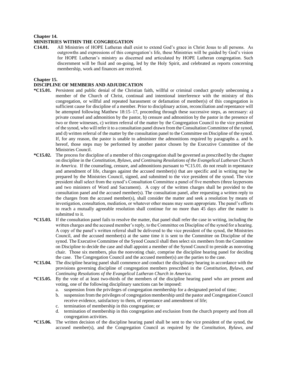#### **Chapter 14.**

#### **MINISTRIES WITHIN THE CONGREGATION**

**C14.01.** All Ministries of HOPE Lutheran shall exist to extend God's grace in Christ Jesus to all persons. As outgrowths and expressions of this congregation's life, these Ministries will be guided by God's vision for HOPE Lutheran's ministry as discerned and articulated by HOPE Lutheran congregation. Such discernment will be fluid and on-going, led by the Holy Spirit, and celebrated as reports concerning membership, work and finances are received.

#### **Chapter 15.**

# **DISCIPLINE OF MEMBERS AND ADJUDICATION**

- **\*C15.01.** Persistent and public denial of the Christian faith, willful or criminal conduct grossly unbecoming a member of the Church of Christ, continual and intentional interference with the ministry of this congregation, or willful and repeated harassment or defamation of member(s) of this congregation is sufficient cause for discipline of a member. Prior to disciplinary action, reconciliation and repentance will be attempted following Matthew 18:15–17, proceeding through these successive steps, as necessary: a) private counsel and admonition by the pastor, b) censure and admonition by the pastor in the presence of two or three witnesses, c) written referral of the matter by the Congregation Council to the vice president of the synod, who will refer it to a consultation panel drawn from the Consultation Committee of the synod, and d) written referral of the matter by the consultation panel to the Committee on Discipline of the synod. If, for any reason, the pastor is unable to administer the admonitions required by paragraphs a. and b. hereof, those steps may be performed by another pastor chosen by the Executive Committee of the Ministries Council.
- **\*C15.02.** The process for discipline of a member of this congregation shall be governed as prescribed by the chapter on discipline in the *Constitution, Bylaws, and Continuing Resolutions of the Evangelical Lutheran Church in America*. If the counseling, censure, and admonitions pursuant to \*C15.01. do not result in repentance and amendment of life, charges against the accused member(s) that are specific and in writing may be prepared by the Ministries Council, signed, and submitted to the vice president of the synod. The vice president shall select from the synod's Consultation Committee a panel of five members (three laypersons and two ministers of Word and Sacrament). A copy of the written charges shall be provided to the consultation panel and the accused member(s). The consultation panel, after requesting a written reply to the charges from the accused member(s), shall consider the matter and seek a resolution by means of investigation, consultation, mediation, or whatever other means may seem appropriate. The panel's efforts to reach a mutually agreeable resolution shall continue for no more than 45 days after the matter is submitted to it.
- **\*C15.03.** If the consultation panel fails to resolve the matter, that panel shall refer the case in writing, including the written charges and the accused member's reply, to the Committee on Discipline of the synod for a hearing. A copy of the panel's written referral shall be delivered to the vice president of the synod, the Ministries Council, and the accused member(s) at the same time it is sent to the Committee on Discipline of the synod. The Executive Committee of the Synod Council shall then select six members from the Committee on Discipline to decide the case and shall appoint a member of the Synod Council to preside as nonvoting chair. Those six members, plus the nonvoting chair, comprise the discipline hearing panel for deciding the case. The Congregation Council and the accused member(s) are the parties to the case.
- **\*C15.04.** The discipline hearing panel shall commence and conduct the disciplinary hearing in accordance with the provisions governing discipline of congregation members prescribed in the *Constitution, Bylaws, and Continuing Resolutions of the Evangelical Lutheran Church in America.*
- **\*C15.05.** By the vote of at least two-thirds of the members of the discipline hearing panel who are present and voting, one of the following disciplinary sanctions can be imposed:
	- a. suspension from the privileges of congregation membership for a designated period of time;
	- b. suspension from the privileges of congregation membership until the pastor and Congregation Council receive evidence, satisfactory to them, of repentance and amendment of life;
	- c. termination of membership in this congregation; or
	- d. termination of membership in this congregation and exclusion from the church property and from all congregation activities.
- **\*C15.06.** The written decision of the discipline hearing panel shall be sent to the vice president of the synod, the accused member(s), and the Congregation Council as required by the *Constitution, Bylaws, and*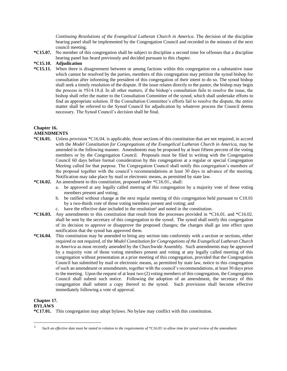*Continuing Resolutions of the Evangelical Lutheran Church in America*. The decision of the discipline hearing panel shall be implemented by the Congregation Council and recorded in the minutes of the next council meeting.

**\*C15.07.** No member of this congregation shall be subject to discipline a second time for offenses that a discipline hearing panel has heard previously and decided pursuant to this chapter.

# **\*C15.10. Adjudication**

**\*C15.11.** When there is disagreement between or among factions within this congregation on a substantive issue which cannot be resolved by the parties, members of this congregation may petition the synod bishop for consultation after informing the president of this congregation of their intent to do so. The synod bishop shall seek a timely resolution of the dispute. If the issue relates directly to the pastor, the bishop may begin the process in †S14.18.d. In all other matters, if the bishop's consultation fails to resolve the issue, the bishop shall refer the matter to the Consultation Committee of the synod, which shall undertake efforts to find an appropriate solution. If the Consultation Committee's efforts fail to resolve the dispute, the entire matter shall be referred to the Synod Council for adjudication by whatever process the Council deems necessary. The Synod Council's decision shall be final.

# **Chapter 16.**

# **AMENDMENTS**

- **\*C16.01.** Unless provision \*C16.04. is applicable, those sections of this constitution that are not required, in accord with the *Model Constitution for Congregations of the Evangelical Lutheran Church in America*, may be amended in the following manner. Amendments may be proposed by at least fifteen percent of the voting members or by the Congregation Council. Proposals must be filed in writing with the Congregation Council 60 days before formal consideration by this congregation at a regular or special Congregation Meeting called for that purpose. The Congregation Council shall notify this congregation's members of the proposal together with the council's recommendations at least 30 days in advance of the meeting. Notification may take place by mail or electronic means, as permitted by state law.
- **\*C16.02.** An amendment to this constitution, proposed under \*C16.01., shall:
	- a. be approved at any legally called meeting of this congregation by a majority vote of those voting members present and voting;
	- b. be ratified without change at the next regular meeting of this congregation held pursuant to C10.01 by a two-thirds vote of those voting members present and voting; and
	- c. have the effective date included in the resolution<sup>2</sup> and noted in the constitution.
- **\*C16.03.** Any amendments to this constitution that result from the processes provided in \*C16.01. and \*C16.02. shall be sent by the secretary of this congregation to the synod. The synod shall notify this congregation of its decision to approve or disapprove the proposed changes; the changes shall go into effect upon notification that the synod has approved them.
- **\*C16.04.** This constitution may be amended to bring any section into conformity with a section or sections, either required or not required, of the *Model Constitution for Congregations of the Evangelical Lutheran Church in America* as most recently amended by the Churchwide Assembly. Such amendments may be approved by a majority vote of those voting members present and voting at any legally called meeting of this congregation without presentation at a prior meeting of this congregation, provided that the Congregation Council has submitted by mail or electronic means, as permitted by state law, notice to this congregation of such an amendment or amendments, together with the council's recommendations, at least 30 days prior to the meeting. Upon the request of at least two (2) voting members of this congregation, the Congregation Council shall submit such notice. Following the adoption of an amendment, the secretary of this congregation shall submit a copy thereof to the synod. Such provisions shall become effective immediately following a vote of approval.

# **Chapter 17.**

**BYLAWS**

**\*C17.01.** This congregation may adopt bylaws. No bylaw may conflict with this constitution.

<sup>2</sup> *Such an effective date must be stated in relation to the requirements of \*C16.03. to allow time for synod review of the amendment.*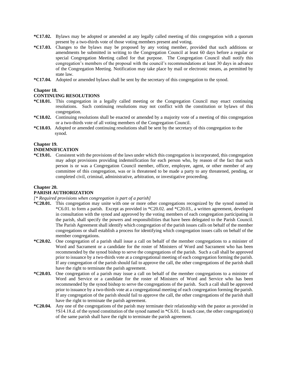- **\*C17.02.** Bylaws may be adopted or amended at any legally called meeting of this congregation with a quorum present by a two-thirds vote of those voting members present and voting.
- **\*C17.03.** Changes to the bylaws may be proposed by any voting member, provided that such additions or amendments be submitted in writing to the Congregation Council at least 60 days before a regular or special Congregation Meeting called for that purpose. The Congregation Council shall notify this congregation's members of the proposal with the council's recommendations at least 30 days in advance of the Congregation Meeting. Notification may take place by mail or electronic means, as permitted by state law.
- **\*C17.04.** Adopted or amended bylaws shall be sent by the secretary of this congregation to the synod.

# **Chapter 18.**

#### **CONTINUING RESOLUTIONS**

- **\*C18.01.** This congregation in a legally called meeting or the Congregation Council may enact continuing resolutions. Such continuing resolutions may not conflict with the constitution or bylaws of this congregation.
- **\*C18.02.** Continuing resolutions shall be enacted or amended by a majority vote of a meeting of this congregation or a two-thirds vote of all voting members of the Congregation Council.
- **\*C18.03.** Adopted or amended continuing resolutions shall be sent by the secretary of this congregation to the synod.

#### **Chapter 19.**

#### **INDEMNIFICATION**

**\*C19.01.** Consistent with the provisions of the laws under which this congregation is incorporated, this congregation may adopt provisions providing indemnification for each person who, by reason of the fact that such person is or was a Congregation Council member, officer, employee, agent, or other member of any committee of this congregation, was or is threatened to be made a party to any threatened, pending, or completed civil, criminal, administrative, arbitration, or investigative proceeding.

## **Chapter 20.**

# **PARISH AUTHORIZATION**

## *[\* Required provisions when congregation is part of a parish]*

- **\*C20.01.** This congregation may unite with one or more other congregations recognized by the synod named in \*C6.01. to form a parish. Except as provided in \*C20.02. and \*C20.03., a written agreement, developed in consultation with the synod and approved by the voting members of each congregation participating in the parish, shall specify the powers and responsibilities that have been delegated to the Parish Council. The Parish Agreement shall identify which congregation of the parish issues calls on behalf of the member congregations or shall establish a process for identifying which congregation issues calls on behalf of the member congregations.
- **\*C20.02.** One congregation of a parish shall issue a call on behalf of the member congregations to a minister of Word and Sacrament or a candidate for the roster of Ministers of Word and Sacrament who has been recommended by the synod bishop to serve the congregations of the parish. Such a call shall be approved prior to issuance by a two-thirds vote at a congregational meeting of each congregation forming the parish. If any congregation of the parish should fail to approve the call, the other congregations of the parish shall have the right to terminate the parish agreement.
- **\*C20.03.** One congregation of a parish may issue a call on behalf of the member congregations to a minister of Word and Service or a candidate for the roster of Ministers of Word and Service who has been recommended by the synod bishop to serve the congregations of the parish. Such a call shall be approved prior to issuance by a two-thirds vote at a congregational meeting of each congregation forming the parish. If any congregation of the parish should fail to approve the call, the other congregations of the parish shall have the right to terminate the parish agreement.
- **\*C20.04.** Any one of the congregations of the parish may terminate their relationship with the pastor as provided in †S14.18.d. of the synod constitution of the synod named in \*C6.01. In such case, the other congregation(s) of the same parish shall have the right to terminate the parish agreement.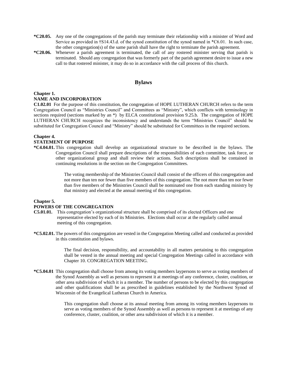- **\*C20.05.** Any one of the congregations of the parish may terminate their relationship with a minister of Word and Service as provided in †S14.43.d. of the synod constitution of the synod named in \*C6.01. In such case, the other congregation(s) of the same parish shall have the right to terminate the parish agreement.
- **\*C20.06.** Whenever a parish agreement is terminated, the call of any rostered minister serving that parish is terminated. Should any congregation that was formerly part of the parish agreement desire to issue a new call to that rostered minister, it may do so in accordance with the call process of this church.

# **Bylaws**

# **Chapter 1.**

# **NAME AND INCORPORATION**

**C1.02.01** For the purpose of this constitution, the congregation of HOPE LUTHERAN CHURCH refers to the term Congregation Council as "Ministries Council" and Committees as "Ministry", which conflicts with terminology in sections required (sections marked by an \*) by ELCA constitutional provision 9.25.b. The congregation of HOPE LUTHERAN CHURCH recognizes the inconsistency and understands the term "Ministries Council" should be substituted for Congregation Council and "Ministry" should be substituted for Committees in the required sections.

#### **Chapter 4.**

#### **STATEMENT OF PURPOSE**

**\*C4.04.01.** This congregation shall develop an organizational structure to be described in the bylaws. The Congregation Council shall prepare descriptions of the responsibilities of each committee, task force, or other organizational group and shall review their actions. Such descriptions shall be contained in continuing resolutions in the section on the Congregation Committees.

> The voting membership of the Ministries Council shall consist of the officers of this congregation and not more than ten nor fewer than five members of this congregation. The not more than ten nor fewer than five members of the Ministries Council shall be nominated one from each standing ministry by that ministry and elected at the annual meeting of this congregation.

# **Chapter 5.**

#### **POWERS OF THE CONGREGATION**

- **C5.01.01.** This congregation's organizational structure shall be comprised of its elected Officers and one representative elected by each of its Ministries. Elections shall occur at the regularly called annual meeting of this congregation.
- **\*C5.02.01.** The powers of this congregation are vested in the Congregation Meeting called and conducted as provided in this constitution and bylaws.

The final decision, responsibility, and accountability in all matters pertaining to this congregation shall be vested in the annual meeting and special Congregation Meetings called in accordance with Chapter 10. CONGREGATION MEETING.

**\*C5.04.01** This congregation shall choose from among its voting members laypersons to serve as voting members of the Synod Assembly as well as persons to represent it at meetings of any conference, cluster, coalition, or other area subdivision of which it is a member. The number of persons to be elected by this congregation and other qualifications shall be as prescribed in guidelines established by the Northwest Synod of Wisconsin of the Evangelical Lutheran Church in America.

> This congregation shall choose at its annual meeting from among its voting members laypersons to serve as voting members of the Synod Assembly as well as persons to represent it at meetings of any conference, cluster, coalition, or other area subdivision of which it is a member.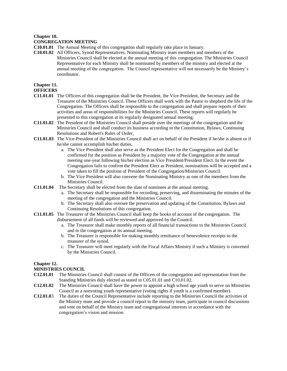#### **Chapter 10.**

#### **CONGREGATION MEETING**

- **C10.01.01** The Annual Meeting of this congregation shall regularly take place in January.
- **C10.01.02** All Officers, Synod Representatives, Nominating Ministry team members and members of the Ministries Council shall be elected at the annual meeting of this congregation. The Ministries Council Representative for each Ministry shall be nominated by members of the ministry and elected at the annual meeting of the congregation. The Council representative will not necessarily be the Ministry's coordinator.

# **Chapter 11.**

#### **OFFICERS**

- **C11.01.01** The Officers of this congregation shall be the President, the Vice-President, the Secretary and the Treasurer of the Ministries Council. These Officers shall work with the Pastor to shepherd the life of the Congregation. The Officers shall be responsible to the congregation and shall prepare reports of their activities and areas of responsibilities for the Ministries Council. These reports will regularly be presented to this congregation at its regularly designated annual meeting.
- **C11.01.02** The President of the Ministries Council shall preside over the meetings of the congregation and the Ministries Council and shall conduct its business according to the Constitution, Bylaws, Continuing Resolutions and Robert's Rules of Order.
- **C11.01.03** The Vice-President of the Ministries Council shall act on behalf of the President if he/she is absent or if he/she cannot accomplish his/her duties.
	- a. The Vice President shall also serve as the President Elect for the Congregation and shall be confirmed for the position as President by a majority vote of the Congregation at the annual meeting one-year following his/her election as Vice President/President Elect. In the event the Congregation fails to confirm the President Elect as President, nominations will be accepted and a vote taken to fill the position of President of the Congregation/Ministries Council.
	- b. The Vice President will also convene the Nominating Ministry as one of the members from the Ministries Council.
- **C11.01.04** The Secretary shall be elected from the slate of nominees at the annual meeting.
	- a. The Secretary shall be responsible for recording, preserving, and disseminating the minutes of the meeting of the congregation and the Ministries Council.
	- b. The Secretary shall also oversee the preservation and updating of the Constitution, Bylaws and Continuing Resolutions of this congregation.
- **C11.01.05** The Treasurer of the Ministries Council shall keep the books of account of the congregation. The disbursement of all funds will be reviewed and approved by the Council.
	- a. The Treasurer shall make monthly reports of all financial transactions to the Ministries Council and to the congregation at its annual meeting.
	- b. The Treasurer is responsible for making monthly remittance of benevolence receipts to the treasurer of the synod.
	- c. The Treasurer will meet regularly with the Fiscal Affairs Ministry if such a Ministry is convened by the Ministries Council.

# **Chapter 12.**

# **MINISTRIES COUNCIL**

- **C12.01.01** The Ministries Council shall consist of the Officers of the congregation and representation from the Standing Ministries duly elected as stated in C05.01.01 and C10.01.02.
- **C12.01.02** The Ministries Council shall have the power to appoint a high school age youth to serve on Ministries Council as a nonvoting youth representative (voting rights if youth is a confirmed member).
- **C12.01.0**3 The duties of the Council Representative include reporting to the Ministries Council the activities of the Ministry team and provide a council report to the ministry team, participate in council discussions and vote on behalf of the Ministry team and congregational interests in accordance with the congregation's vision and mission.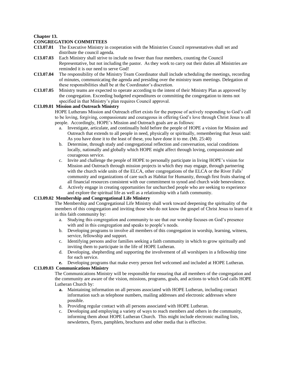#### **Chapter 13.**

## **CONGREGATION COMMITTEES**

- **C13.07.01** The Executive Ministry in cooperation with the Ministries Council representatives shall set and distribute the council agenda.
- **C13.07.03** Each Ministry shall strive to include no fewer than four members, counting the Council Representative, but not including the pastor. As they work to carry out their duties all Ministries are reminded it is our need to serve God!
- **C13.07.04** The responsibility of the Ministry Team Coordinator shall include scheduling the meetings, recording of minutes, communicating the agenda and presiding over the ministry team meetings. Delegation of these responsibilities shall be at the Coordinator's discretion.
- **C13.07.05** Ministry teams are expected to operate according to the intent of their Ministry Plan as approved by the congregation. Exceeding budgeted expenditures or committing the congregation to items not specified in that Ministry's plan requires Council approval.

#### **C13.09.01 Mission and Outreach Ministry**

HOPE Lutherans Mission and Outreach effort exists for the purpose of actively responding to God's call to be loving, forgiving, compassionate and courageous in offering God's love through Christ Jesus to all people. Accordingly, HOPE's Mission and Outreach goals are as follows:

- a. Investigate, articulate, and continually hold before the people of HOPE a vision for Mission and Outreach that extends to all people in need, physically or spiritually, remembering that Jesus said: As you have done it to the least of these, you have done it to me. (Mt. 25:40)
- b. Determine, through study and congregational reflection and conversation, social conditions locally, nationally and globally which HOPE might affect through loving, compassionate and courageous service.
- c. Invite and challenge the people of HOPE to personally participate in living HOPE's vision for Mission and Outreach through mission projects in which they may engage, through partnering with the church wide units of the ELCA, other congregations of the ELCA or the River Falls' community and organizations of care such as Habitat for Humanity, through first fruits sharing of all financial resources consistent with our commitment to synod and church wide benevolence.
- d. Actively engage in creating opportunities for unchurched people who are seeking to experience and explore the spiritual life as well as a relationship with a faith community.

# **C13.09.02 Membership and Congregational Life Ministry**

The Membership and Congregational Life Ministry shall work toward deepening the spirituality of the members of this congregation and inviting those who do not know the gospel of Christ Jesus to learn of it in this faith community by:

- a. Studying this congregation and community to see that our worship focuses on God's presence with and in this congregation and speaks to people's needs.
- b. Developing programs to involve all members of this congregation in worship, learning, witness, service, fellowship and support.
- c. Identifying persons and/or families seeking a faith community in which to grow spiritually and inviting them to participate in the life of HOPE Lutheran.
- d. Developing, shepherding and supporting the involvement of all worshipers in a fellowship time for each service.
- **e.** Developing programs that make every person feel welcomed and included at HOPE Lutheran.

#### **C13.09.03 Communications Ministry**

The Communications Ministry will be responsible for ensuring that all members of the congregation and the community are aware of the vision, missions, programs, goals, and actions to which God calls HOPE Lutheran Church by:

- **a.** Maintaining information on all persons associated with HOPE Lutheran, including contact information such as telephone numbers, mailing addresses and electronic addresses where possible.
- b. Providing regular contact with all persons associated with HOPE Lutheran.
- c. Developing and employing a variety of ways to reach members and others in the community, informing them about HOPE Lutheran Church. This might include electronic mailing lists, newsletters, flyers, pamphlets, brochures and other media that is effective.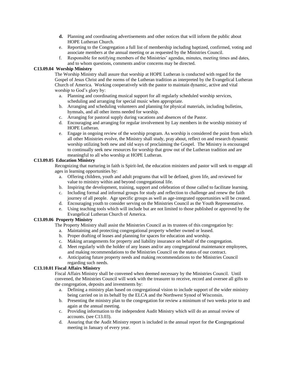- **d.** Planning and coordinating advertisements and other notices that will inform the public about HOPE Lutheran Church.
- e. Reporting to the Congregation a full list of membership including baptized, confirmed, voting and associate members at the annual meeting or as requested by the Ministries Council.
- f. Responsible for notifying members of the Ministries' agendas, minutes, meeting times and dates, and to whom questions, comments and/or concerns may be directed.

#### **C13.09.04 Worship Ministry**

The Worship Ministry shall assure that worship at HOPE Lutheran is conducted with regard for the Gospel of Jesus Christ and the norms of the Lutheran tradition as interpreted by the Evangelical Lutheran Church of America. Working cooperatively with the pastor to maintain dynamic, active and vital worship to God's glory by:

- a. Planning and coordinating musical support for all regularly scheduled worship services, scheduling and arranging for special music when appropriate.
- b. Arranging and scheduling volunteers and planning for physical materials, including bulletins, hymnals, and all other items needed for worship.
- c. Arranging for pastoral supply during vacations and absences of the Pastor.
- d. Encouraging and arranging for regular involvement by Lay members in the worship ministry of HOPE Lutheran.
- e. Engage in ongoing review of the worship program. As worship is considered the point from which all other Ministries evolve, the Ministry shall study, pray about, reflect on and research dynamic worship utilizing both new and old ways of proclaiming the Gospel. The Ministry is encouraged to continually seek new resources for worship that grow out of the Lutheran tradition and are meaningful to all who worship at HOPE Lutheran.

#### **C13.09.05 Education Ministry**

Recognizing that nurturing in faith is Spirit-led, the education ministers and pastor will seek to engage all ages in learning opportunities by:

- a. Offering children, youth and adult programs that will be defined, given life, and reviewed for value to ministry within and beyond congregational life.
- b. Inspiring the development, training, support and celebration of those called to facilitate learning.
- c. Including formal and informal groups for study and reflection to challenge and renew the faith journey of all people. Age specific groups as well as age-integrated opportunities will be created.
- d. Encouraging youth to consider serving on the Ministries Council as the Youth Representative.
- e. Using teaching tools which will include but are not limited to those published or approved by the Evangelical Lutheran Church of America.

# **C13.09.06 Property Ministry**

The Property Ministry shall assist the Ministries Council as its trustees of this congregation by:

- a. Maintaining and protecting congregational property whether owned or leased.
- b. Proper drafting of leases and planning for spaces for education and worship.
- c. Making arrangements for property and liability insurance on behalf of the congregation.
- d. Meet regularly with the holder of any leases and/or any congregational maintenance employees, and making recommendations to the Ministries Council on the status of our contract.
- e. Anticipating future property needs and making recommendations to the Ministries Council regarding such needs.

# **C13.10.01 Fiscal Affairs Ministry**

Fiscal Affairs Ministry shall be convened when deemed necessary by the Ministries Council. Until convened, the Ministries Council will work with the treasurer to receive, record and oversee all gifts to the congregation, deposits and investments by:

- a. Defining a ministry plan based on congregational vision to include support of the wider ministry being carried on in its behalf by the ELCA and the Northwest Synod of Wisconsin.
- b. Presenting the ministry plan to the congregation for review a minimum of two weeks prior to and again at the annual meeting.
- c. Providing information to the independent Audit Ministry which will do an annual review of accounts. (see C13.03).
- d. Assuring that the Audit Ministry report is included in the annual report for the **C**ongregational meeting in January of every year.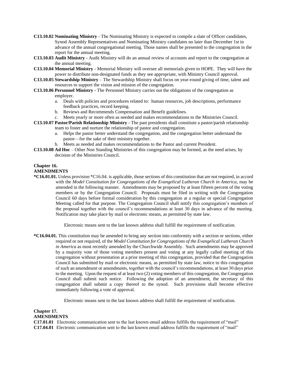- **C13.10.02 Nominating Ministry** The Nominating Ministry is expected to compile a slate of Officer candidates, Synod Assembly Representatives and Nominating Ministry candidates no later than December 1st in advance of the annual congregational meeting. Those names shall be presented to the congregation in the report for the annual meeting.
- **C13.10.03 Audit Ministry** Audit Ministry will do an annual review of accounts and report to the congregation at the annual meeting.
- **C13.10.04 Memorial Ministry**  Memorial Ministry will oversee all memorials given to HOPE. They will have the power to distribute non-designated funds as they see appropriate, with Ministry Council approval.
- **C13.10.05 Stewardship Ministry**  The Stewardship Ministry shall focus on year-round giving of time, talent and resources to support the vision and mission of the congregation.
- **C13.10.06 Personnel Ministry**  The Personnel Ministry carries out the obligations of the congregation as employer.
	- a. Deals with policies and procedures related to: human resources, job descriptions, performance feedback practices, record keeping.
	- b. Reviews and Recommends Compensation and Benefit guidelines.
	- c. Meets yearly or more often as needed and makes recommendations to the Ministries Council.
- **C13.10.07 Pastor/Parish Relationship Ministry** The past presidents shall constitute a pastor/parish relationship team to foster and nurture the relationship of pastor and congregation.
	- a. Helps the pastor better understand the congregation, and the congregation better understand the pastor—for the sake of their ministry together.
	- b. Meets as needed and makes recommendations to the Pastor and current President.
- **C13.10.08 Ad Hoc**  Other Non Standing Ministries of this congregation may be formed, as the need arises, by decision of the Ministries Council.

#### **Chapter 16.**

#### **AMENDMENTS**

**\*C16.01.01.** Unless provision \*C16.04. is applicable, those sections of this constitution that are not required, in accord with the *Model Constitution for Congregations of the Evangelical Lutheran Church in America*, may be amended in the following manner. Amendments may be proposed by at least fifteen percent of the voting members or by the Congregation Council. Proposals must be filed in writing with the Congregation Council 60 days before formal consideration by this congregation at a regular or special Congregation Meeting called for that purpose. The Congregation Council shall notify this congregation's members of the proposal together with the council's recommendations at least 30 days in advance of the meeting. Notification may take place by mail or electronic means, as permitted by state law.

Electronic means sent to the last known address shall fulfill the requirement of notification.

**\*C16.04.01.** This constitution may be amended to bring any section into conformity with a section or sections, either required or not required, of the *Model Constitution for Congregations of the Evangelical Lutheran Church in America* as most recently amended by the Churchwide Assembly. Such amendments may be approved by a majority vote of those voting members present and voting at any legally called meeting of this congregation without presentation at a prior meeting of this congregation, provided that the Congregation Council has submitted by mail or electronic means, as permitted by state law, notice to this congregation of such an amendment or amendments, together with the council's recommendations, at least 30 days prior to the meeting. Upon the request of at least two (2) voting members of this congregation, the Congregation Council shall submit such notice. Following the adoption of an amendment, the secretary of this congregation shall submit a copy thereof to the synod. Such provisions shall become effective immediately following a vote of approval.

Electronic means sent to the last known address shall fulfill the requirement of notification.

# **Chapter 17.**

# **AMENDMENTS**

**C17.01.01** Electronic communication sent to the last known email address fulfills the requirement of "mail" **C17.04.01** Electronic communication sent to the last known email address fulfills the requirement of "mail"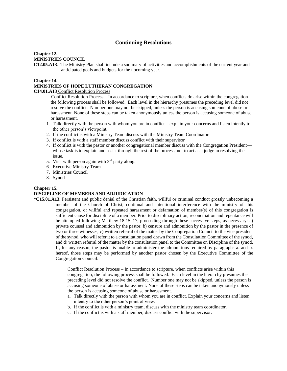# **Continuing Resolutions**

# **Chapter 12.**

# **MINISTRIES COUNCIL**

**C12.05.A13**. The Ministry Plan shall include a summary of activities and accomplishments of the current year and anticipated goals and budgets for the upcoming year.

#### **Chapter 14.**

#### **MINISTRIES OF HOPE LUTHERAN CONGREGATION**

#### **C14.01.A13** Conflict Resolution Process

 Conflict Resolution Process – In accordance to scripture, when conflicts do arise within the congregation the following process shall be followed. Each level in the hierarchy presumes the preceding level did not resolve the conflict. Number one may not be skipped, unless the person is accusing someone of abuse or harassment. None of these steps can be taken anonymously unless the person is accusing someone of abuse or harassment.

- 1. Talk directly with the person with whom you are in conflict explain your concerns and listen intently to the other person's viewpoint.
- 2. If the conflict is with a Ministry Team discuss with the Ministry Team Coordinator.
- 3. If conflict is with a staff member discuss conflict with their supervisor
- 4. If conflict is with the pastor or another congregational member discuss with the Congregation President whose task is to explain and assist through the rest of the process, not to act as a judge in resolving the issue.
- 5. Visit with person again with  $3<sup>rd</sup>$  party along.
- 6. Executive Ministry Team
- 7. Ministries Council
- 8. Synod

# **Chapter 15.**

#### **DISCIPLINE OF MEMBERS AND ADJUDICATION**

**\*C15.01.A13.** Persistent and public denial of the Christian faith, willful or criminal conduct grossly unbecoming a member of the Church of Christ, continual and intentional interference with the ministry of this congregation, or willful and repeated harassment or defamation of member(s) of this congregation is sufficient cause for discipline of a member. Prior to disciplinary action, reconciliation and repentance will be attempted following Matthew 18:15–17, proceeding through these successive steps, as necessary: a) private counsel and admonition by the pastor, b) censure and admonition by the pastor in the presence of two or three witnesses, c) written referral of the matter by the Congregation Council to the vice president of the synod, who will refer it to a consultation panel drawn from the Consultation Committee of the synod, and d) written referral of the matter by the consultation panel to the Committee on Discipline of the synod. If, for any reason, the pastor is unable to administer the admonitions required by paragraphs a. and b. hereof, those steps may be performed by another pastor chosen by the Executive Committee of the Congregation Council.

> Conflict Resolution Process – In accordance to scripture, when conflicts arise within this congregation, the following process shall be followed. Each level in the hierarchy presumes the preceding level did not resolve the conflict. Number one may not be skipped, unless the person is accusing someone of abuse or harassment. None of these steps can be taken anonymously unless the person is accusing someone of abuse or harassment.

- a. Talk directly with the person with whom you are in conflict. Explain your concerns and listen intently to the other person's point of view.
- b. If the conflict is with a ministry team, discuss with the ministry team coordinator.
- c. If the conflict is with a staff member, discuss conflict with the supervisor.